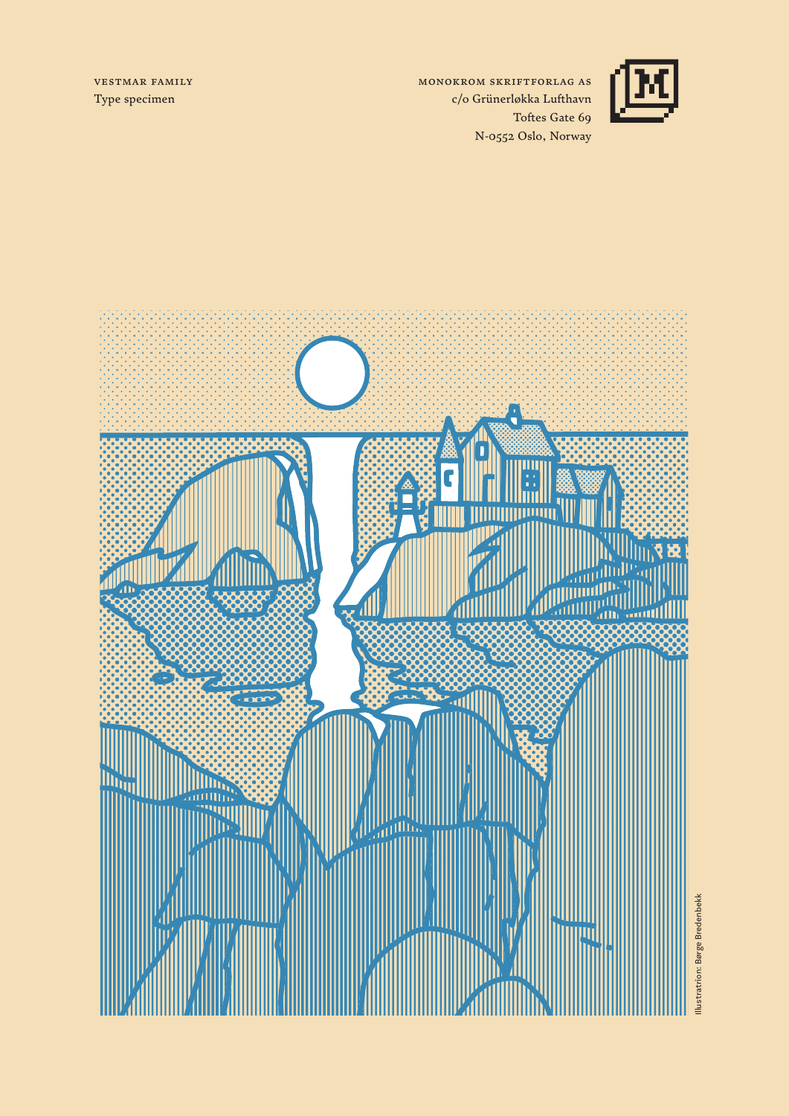Vestmar family Type specimen

Monokrom Skriftforlag AS c/o Grünerløkka Lufthavn Toftes Gate 69 N-0552 Oslo, Norway



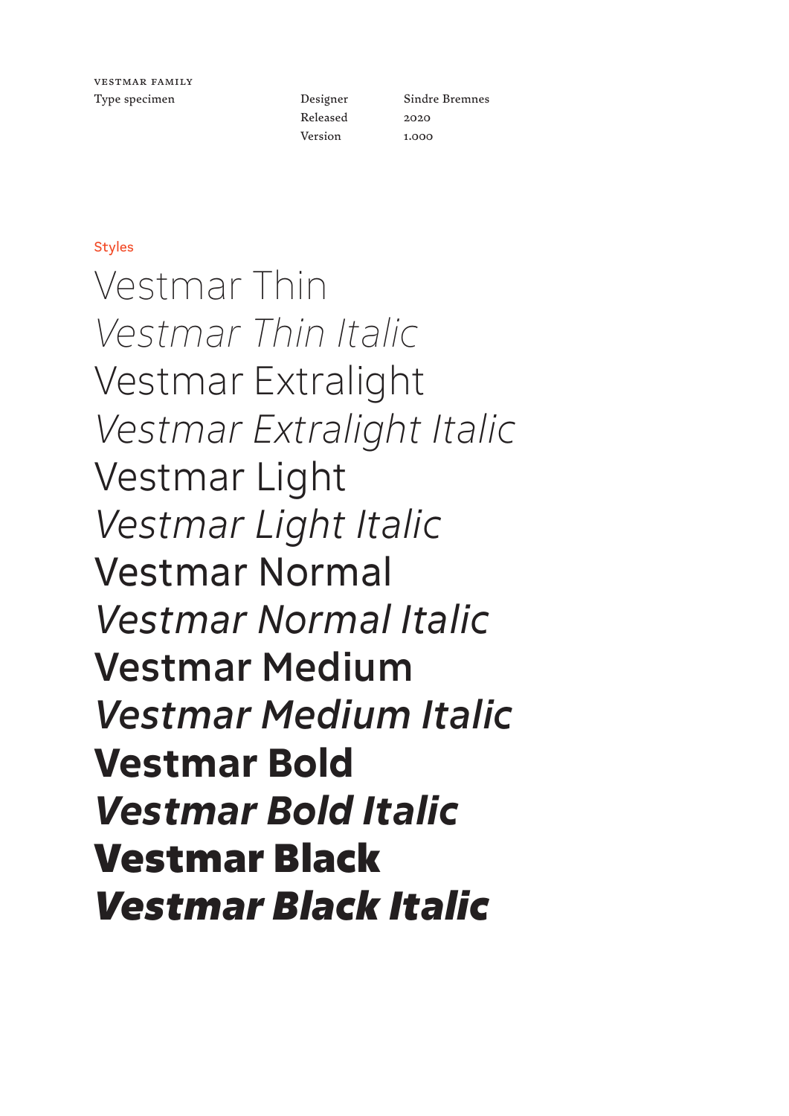Designer Released Version

Sindre Bremnes 2020 1.000

#### **Styles**

Vestmar Thin *Vestmar Thin Italic* Vestmar Extralight *Vestmar Extralight Italic* Vestmar Light *Vestmar Light Italic* Vestmar Normal *Vestmar Normal Italic* Vestmar Medium *Vestmar Medium Italic* **Vestmar Bold** *Vestmar Bold Italic* Vestmar Black *Vestmar Black Italic*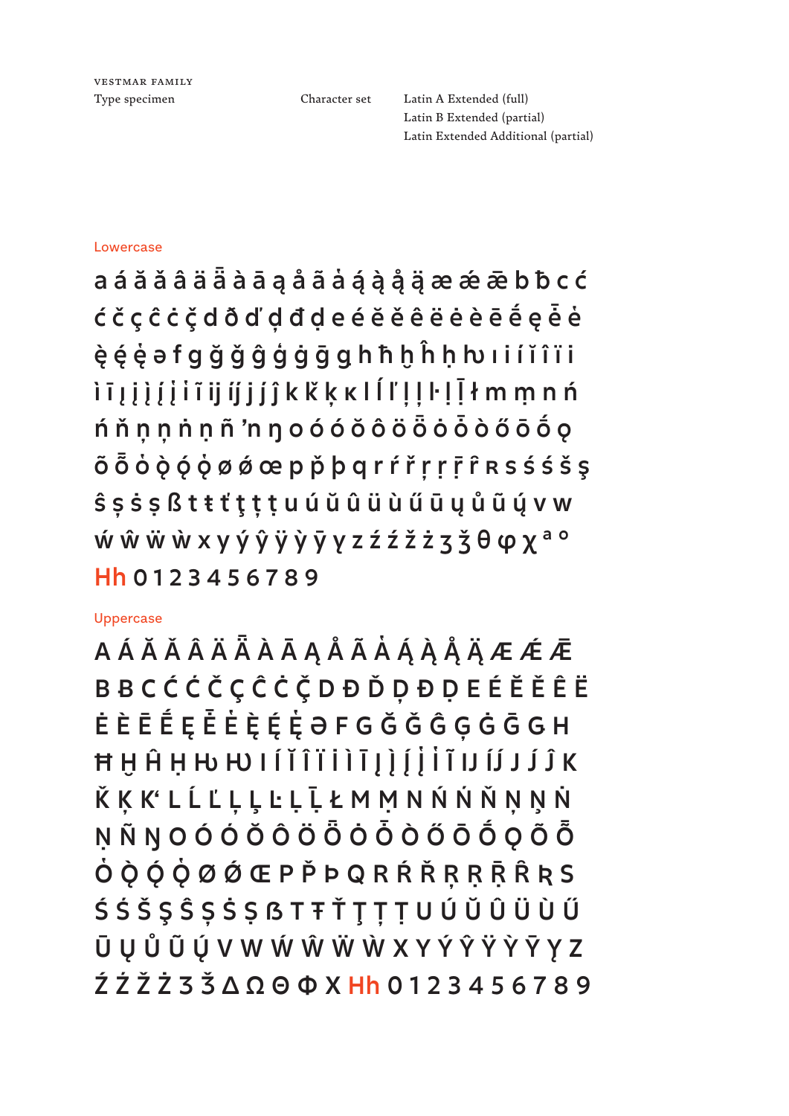Vestmar family

Type specimen Character set Latin A Extended (full) Latin B Extended (partial) Latin Extended Additional (partial)

#### Lowercase

a á ă ǎ â ä ǟ à ā ą å ã a̔ ą́ ą̀ ą̊ ą̈ æ ǽ ǣ b ƀ c ć ć č ç ĉ ċ ç̌ d ð ď ḑ đ ḍ e é ĕ ě ê ë ė è ē ḗ ę ė̄ e̔ ę̀ ę́ ę̔ ə f g ğ ǧ ĝ ģ ġ ḡ ǥ h ħ ḫ ĥ ḥ ƕ ı i í ĭ î ï i ̇ ì ī į į į ̀ į ́ į ̔ i ̔ ĩ ij ij j � ĵ k ǩ ķ ĸ l ĺ ľ ļ ļ ŀ ḷ ḹ ł m ṃ n ń ń ň ņ ņ ṅ ṇ ñ 'n ŋ o ó ó ŏ ô ö ȫ ȯ ȱ ò ő ō ṓ ǫ õ Õ Ò Ò Ó Ó Ø Ø Ø œ p Ď þ q r ŕ ř r ṛ r ͡r R s ś ś š ş ŝ ș ṡ ṣ ß t ŧ ť ţ ț ṭ u ú ŭ û ü ù ű ū ų ů ũ ų́ v w ẃ ŵ ẅ ẁ x y ý ŷ ÿ ỳ ȳ y̨ z ź ź ž ż ʒ ǯ θ φ χ ª º Hh 0 1 2 3 4 5 6 7 8 9

#### Uppercase

A Á Ă Ă Â Ä Ä À Ā Ą Å Ã À Á À Å Å Å Ä Æ Æ Æ **BBCĆĆČÇĈĊČDĐĎDĐDEÉĔĔÊË** Ė È Ē É̃ Ę Ė Ė̀ Ė̀ Ę̀ Ę́ Ę̀ Ə F G Ğ Ğ Ĝ Ģ Ġ Ğ G H Ħ Ḥ Ĥ Ḥ H W I Í Ĭ Î Ï Ì Ī J ) J İ Ï I I IJ J J Î K Ǩ Ķ � L Ĺ Ľ Ļ Ļ Ŀ Ḷ Ḹ Ł M Ṃ N Ń Ń Ň Ņ Ņ Ṅ **N Ñ N O Ó Ó Ö Ô Ö Ö Ö Ö Ö Ő Ő Ő Ő Ő**  $\dot{\mathsf{O}}$  $\dot{\mathsf{O}}$  $\dot{\mathsf{O}}$  $\dot{\mathsf{O}}$  $\dot{\mathsf{O}}$  $\dot{\mathsf{O}}$  $\dot{\mathsf{O}}$  $\dot{\mathsf{O}}$  $\dot{\mathsf{O}}$  $\dot{\mathsf{O}}$  $\dot{\mathsf{O}}$  $\dot{\mathsf{O}}$  $\dot{\mathsf{O}}$  $\dot{\mathsf{O}}$  $\dot{\mathsf{O}}$  $\dot{\mathsf{O}}$  $\dot{\mathsf{O}}$  $\dot{\mathsf{O}}$  $\dot{\mathsf{O}}$  $\dot{\mathsf{O}}$  $\dot{\mathsf{O}}$  $\dot{\mathsf{O}}$ Ś Ś Š Ş Ŝ Ș Ṡ Ṣ ẞ T Ŧ Ť Ţ Ț Ṭ U Ú Ŭ Û Ü Ù Ű Ū Ų Ů Ũ Ų́ V W Ẃ Ŵ Ẅ Ẁ X Y Ý Ŷ Ÿ Ỳ Ȳ Y̨Z  $227723300000123456789$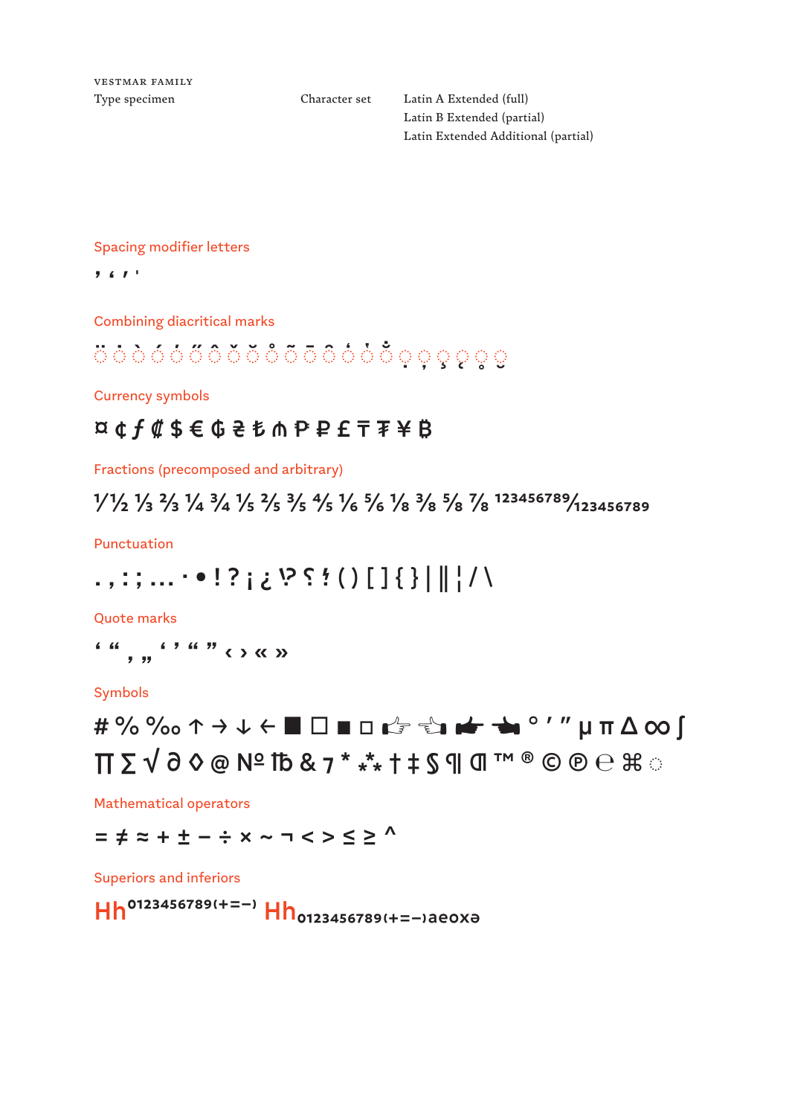Vestmar family

Type specimen Character set Latin A Extended (full) Latin B Extended (partial) Latin Extended Additional (partial)

Spacing modifier letters

 $7.671$ 

Combining diacritical marks

## ◌̈ ◌̇ ◌̀ ◌́ ◌́◌̋◌̂◌̌ ◌̆◌̊ ◌̃◌̄ ◌̑◌̒◌̔ ◌ ◌̣◌̦◌̧◌̨◌̥◌̮

Currency symbols

### ¤ ¢ ƒ ₡ \$ € ₲ ₴ ₺ ₼ ₱ ₽ £ ₸ ₮ ¥ ₿

Fractions (precomposed and arbitrary)

⅟ ½ ⅓ ⅔ ¼ ¾ ⅕ ⅖ ⅗ ⅘ ⅙ ⅚ ⅛ ⅜ ⅝ ⅞ 123456789/123456789

Punctuation

### . , : ; . . . • • ! ? إ ` إ } [ ] ( ) ؛ ؟ ?! خ . . . . . . . . . . . . . . . . .

Quote marks

' " ' " ' ' " " ‹ › « »

Symbols

# # %‰↑ → ↓ ← ■ □ ◻ ◼ ☞ ☜ ☛ ☚ ° ′ ″ µ π ∆ ∞ ∫  $\Pi$   $\Sigma$   $\sqrt$   $\partial$   $\Diamond$   $\emptyset$   $N$ <sup> $\subseteq$ </sup>  $I$   $\mathbb{B}$  &  $\mathbb{Z}$   $\mathbb{Z}$   $\mathbb{Z}$   $\mathbb{Z}$   $\mathbb{Z}$   $\mathbb{Z}$   $\mathbb{Z}$   $\mathbb{Z}$   $\mathbb{Z}$   $\mathbb{Z}$   $\mathbb{Z}$   $\mathbb{Z}$   $\mathbb{Z}$   $\mathbb{Z}$   $\mathbb{Z}$   $\mathbb{Z}$   $\mathbb{Z}$   $\mathbb{Z}$   $\math$

Mathematical operators

= ≠ ≈ + ± − ÷ × ~ ¬ < > ≤ ≥ ^

Superiors and inferiors

Hh<sup>0123456789(+=−)</sup> Hh<sub>0123456789(+=−)aeoxə</sub>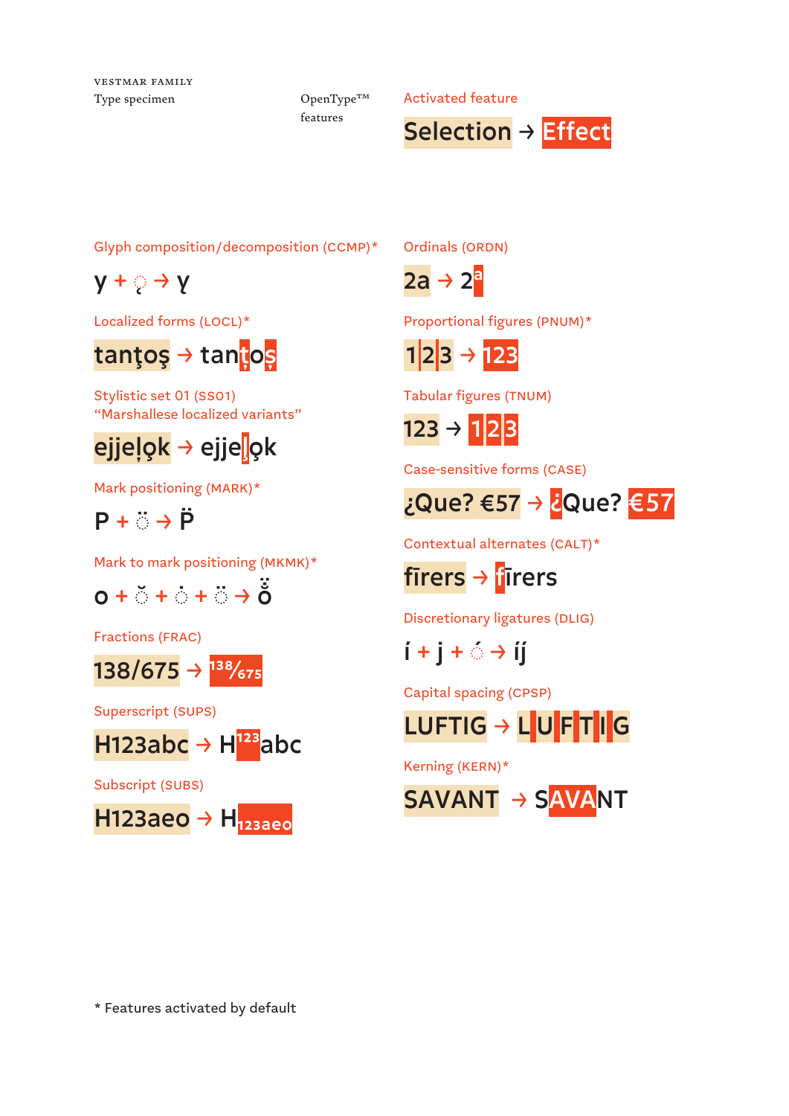Vestmar family

OpenType™ features

Type specimen  $OpenType^{TM}$  Activated feature



Glyph composition/decomposition (ccmp)\*

 $y + \circ \rightarrow y$ 

Localized forms (LOCL)\*

## tanţoş → tan<mark>ţ</mark>os

Stylistic set 01 (ss01) "Marshallese localized variants"

## <mark>ejjeļok</mark> → ejje<mark>ļ</mark>ok

Mark positioning (MARK)\*



Mark to mark positioning (mkmk)\*



Fractions (FRAC)



Superscript (Sups)



Subscript (Subs)



Ordinals (ORDN)

 $2a \rightarrow 2^a$ 

Proportional figures (PNUM)\*



Tabular figures (TNUM)

 $123 \rightarrow 123$ 

Case-sensitive forms (case)



Contextual alternates (CALT)\*



firers  $\rightarrow$  firers

Discretionary ligatures (Dlig)

 $i + j + \circ \rightarrow ii$ 

Capital spacing (cPSP)

# LUFTIG → LUFTIG

Kerning (kern)\*

SAVANT → SAVANT

\* Features activated by default